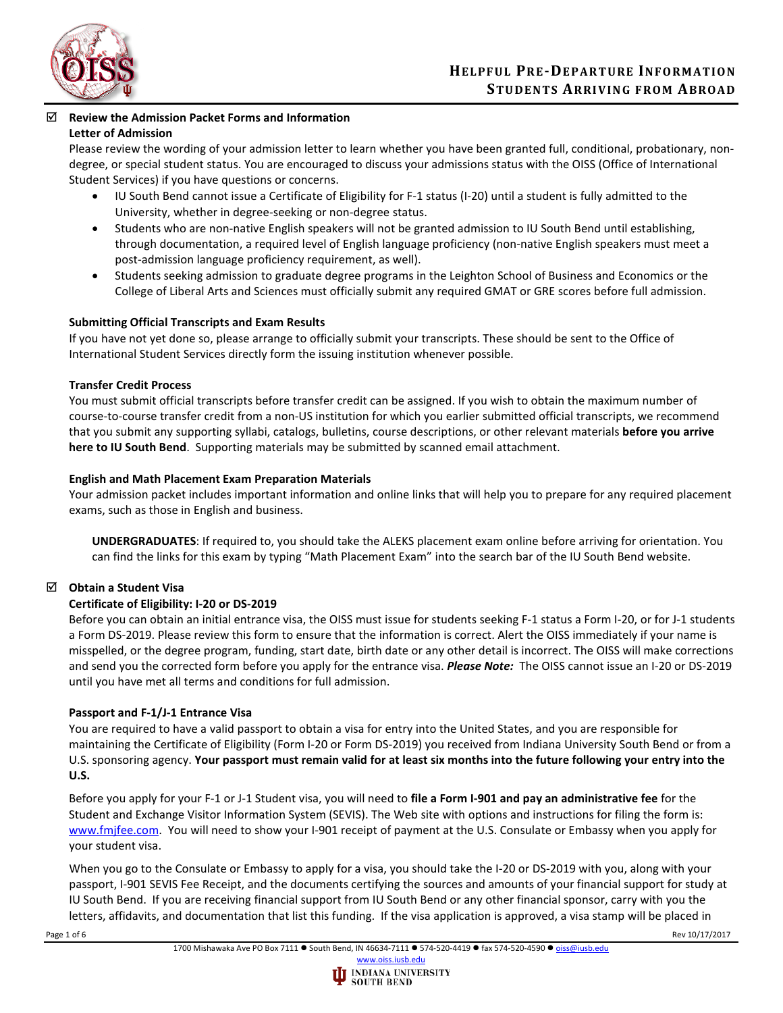

### **Review the Admission Packet Forms and Information Letter of Admission**

Please review the wording of your admission letter to learn whether you have been granted full, conditional, probationary, nondegree, or special student status. You are encouraged to discuss your admissions status with the OISS (Office of International Student Services) if you have questions or concerns.

- IU South Bend cannot issue a Certificate of Eligibility for F-1 status (I-20) until a student is fully admitted to the University, whether in degree-seeking or non-degree status.
- Students who are non-native English speakers will not be granted admission to IU South Bend until establishing, through documentation, a required level of English language proficiency (non-native English speakers must meet a post-admission language proficiency requirement, as well).
- Students seeking admission to graduate degree programs in the Leighton School of Business and Economics or the College of Liberal Arts and Sciences must officially submit any required GMAT or GRE scores before full admission.

# **Submitting Official Transcripts and Exam Results**

If you have not yet done so, please arrange to officially submit your transcripts. These should be sent to the Office of International Student Services directly form the issuing institution whenever possible.

### **Transfer Credit Process**

You must submit official transcripts before transfer credit can be assigned. If you wish to obtain the maximum number of course-to-course transfer credit from a non-US institution for which you earlier submitted official transcripts, we recommend that you submit any supporting syllabi, catalogs, bulletins, course descriptions, or other relevant materials **before you arrive here to IU South Bend**. Supporting materials may be submitted by scanned email attachment.

## **English and Math Placement Exam Preparation Materials**

Your admission packet includes important information and online links that will help you to prepare for any required placement exams, such as those in English and business.

**UNDERGRADUATES**: If required to, you should take the ALEKS placement exam online before arriving for orientation. You can find the links for this exam by typing "Math Placement Exam" into the search bar of the IU South Bend website.

# **Obtain a Student Visa**

### **Certificate of Eligibility: I-20 or DS-2019**

Before you can obtain an initial entrance visa, the OISS must issue for students seeking F-1 status a Form I-20, or for J-1 students a Form DS-2019. Please review this form to ensure that the information is correct. Alert the OISS immediately if your name is misspelled, or the degree program, funding, start date, birth date or any other detail is incorrect. The OISS will make corrections and send you the corrected form before you apply for the entrance visa. *Please Note:*The OISS cannot issue an I-20 or DS-2019 until you have met all terms and conditions for full admission.

# **Passport and F-1/J-1 Entrance Visa**

You are required to have a valid passport to obtain a visa for entry into the United States, and you are responsible for maintaining the Certificate of Eligibility (Form I-20 or Form DS-2019) you received from Indiana University South Bend or from a U.S. sponsoring agency. **Your passport must remain valid for at least six months into the future following your entry into the U.S.**

Before you apply for your F-1 or J-1 Student visa, you will need to **file a Form I-901 and pay an administrative fee** for the Student and Exchange Visitor Information System (SEVIS). The Web site with options and instructions for filing the form is: [www.fmjfee.com.](http://www.fmjfee.com/) You will need to show your I-901 receipt of payment at the U.S. Consulate or Embassy when you apply for your student visa.

When you go to the Consulate or Embassy to apply for a visa, you should take the I-20 or DS-2019 with you, along with your passport, I-901 SEVIS Fee Receipt, and the documents certifying the sources and amounts of your financial support for study at IU South Bend. If you are receiving financial support from IU South Bend or any other financial sponsor, carry with you the letters, affidavits, and documentation that list this funding. If the visa application is approved, a visa stamp will be placed in

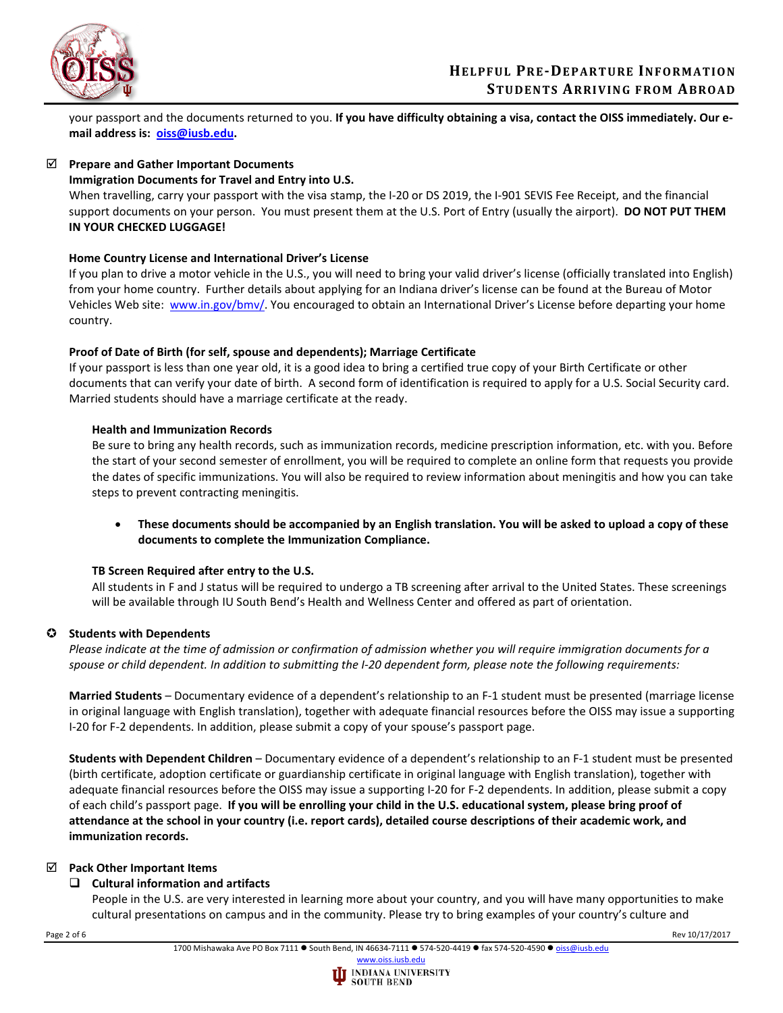

your passport and the documents returned to you. **If you have difficulty obtaining a visa, contact the OISS immediately. Our email address is: [oiss@iusb.edu.](mailto:oiss@iusb.edu)**

## **Prepare and Gather Important Documents**

### **Immigration Documents for Travel and Entry into U.S.**

When travelling, carry your passport with the visa stamp, the I-20 or DS 2019, the I-901 SEVIS Fee Receipt, and the financial support documents on your person. You must present them at the U.S. Port of Entry (usually the airport). **DO NOT PUT THEM IN YOUR CHECKED LUGGAGE!**

## **Home Country License and International Driver's License**

If you plan to drive a motor vehicle in the U.S., you will need to bring your valid driver's license (officially translated into English) from your home country. Further details about applying for an Indiana driver's license can be found at the Bureau of Motor Vehicles Web site: [www.in.gov/bmv/.](http://www.in.gov/bmv/) You encouraged to obtain an International Driver's License before departing your home country.

## **Proof of Date of Birth (for self, spouse and dependents); Marriage Certificate**

If your passport is less than one year old, it is a good idea to bring a certified true copy of your Birth Certificate or other documents that can verify your date of birth. A second form of identification is required to apply for a U.S. Social Security card. Married students should have a marriage certificate at the ready.

## **Health and Immunization Records**

Be sure to bring any health records, such as immunization records, medicine prescription information, etc. with you. Before the start of your second semester of enrollment, you will be required to complete an online form that requests you provide the dates of specific immunizations. You will also be required to review information about meningitis and how you can take steps to prevent contracting meningitis.

• **These documents should be accompanied by an English translation. You will be asked to upload a copy of these documents to complete the Immunization Compliance.** 

### **TB Screen Required after entry to the U.S.**

All students in F and J status will be required to undergo a TB screening after arrival to the United States. These screenings will be available through IU South Bend's Health and Wellness Center and offered as part of orientation.

# **Students with Dependents**

*Please indicate at the time of admission or confirmation of admission whether you will require immigration documents for a spouse or child dependent. In addition to submitting the I-20 dependent form, please note the following requirements:*

**Married Students** – Documentary evidence of a dependent's relationship to an F-1 student must be presented (marriage license in original language with English translation), together with adequate financial resources before the OISS may issue a supporting I-20 for F-2 dependents. In addition, please submit a copy of your spouse's passport page.

**Students with Dependent Children** – Documentary evidence of a dependent's relationship to an F-1 student must be presented (birth certificate, adoption certificate or guardianship certificate in original language with English translation), together with adequate financial resources before the OISS may issue a supporting I-20 for F-2 dependents. In addition, please submit a copy of each child's passport page. **If you will be enrolling your child in the U.S. educational system, please bring proof of attendance at the school in your country (i.e. report cards), detailed course descriptions of their academic work, and immunization records.**

### **Pack Other Important Items**

# **Cultural information and artifacts**

People in the U.S. are very interested in learning more about your country, and you will have many opportunities to make cultural presentations on campus and in the community. Please try to bring examples of your country's culture and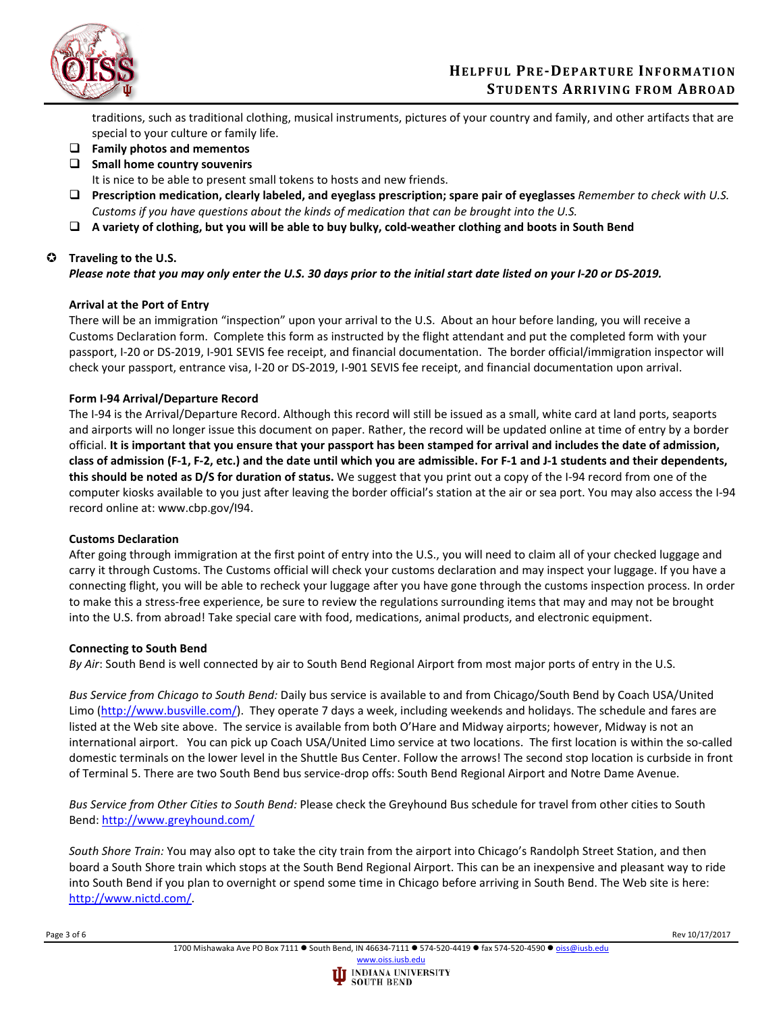

traditions, such as traditional clothing, musical instruments, pictures of your country and family, and other artifacts that are special to your culture or family life.

- **Family photos and mementos**
- **Small home country souvenirs**

It is nice to be able to present small tokens to hosts and new friends.

- **Prescription medication, clearly labeled, and eyeglass prescription; spare pair of eyeglasses** *Remember to check with U.S. Customs if you have questions about the kinds of medication that can be brought into the U.S.*
- **A variety of clothing, but you will be able to buy bulky, cold-weather clothing and boots in South Bend**

## **Traveling to the U.S.**

*Please note that you may only enter the U.S. 30 days prior to the initial start date listed on your I-20 or DS-2019.*

## **Arrival at the Port of Entry**

There will be an immigration "inspection" upon your arrival to the U.S. About an hour before landing, you will receive a Customs Declaration form. Complete this form as instructed by the flight attendant and put the completed form with your passport, I-20 or DS-2019, I-901 SEVIS fee receipt, and financial documentation. The border official/immigration inspector will check your passport, entrance visa, I-20 or DS-2019, I-901 SEVIS fee receipt, and financial documentation upon arrival.

## **Form I-94 Arrival/Departure Record**

The I-94 is the Arrival/Departure Record. Although this record will still be issued as a small, white card at land ports, seaports and airports will no longer issue this document on paper. Rather, the record will be updated online at time of entry by a border official. **It is important that you ensure that your passport has been stamped for arrival and includes the date of admission, class of admission (F-1, F-2, etc.) and the date until which you are admissible. For F-1 and J-1 students and their dependents, this should be noted as D/S for duration of status.** We suggest that you print out a copy of the I-94 record from one of the computer kiosks available to you just after leaving the border official's station at the air or sea port. You may also access the I-94 record online at: www.cbp.gov/I94.

### **Customs Declaration**

After going through immigration at the first point of entry into the U.S., you will need to claim all of your checked luggage and carry it through Customs. The Customs official will check your customs declaration and may inspect your luggage. If you have a connecting flight, you will be able to recheck your luggage after you have gone through the customs inspection process. In order to make this a stress-free experience, be sure to review the regulations surrounding items that may and may not be brought into the U.S. from abroad! Take special care with food, medications, animal products, and electronic equipment.

### **Connecting to South Bend**

*By Air*: South Bend is well connected by air to South Bend Regional Airport from most major ports of entry in the U.S.

*Bus Service from Chicago to South Bend:* Daily bus service is available to and from Chicago/South Bend by Coach USA/United Limo [\(http://www.busville.com/\)](http://www.busville.com/). They operate 7 days a week, including weekends and holidays. The schedule and fares are listed at the Web site above. The service is available from both O'Hare and Midway airports; however, Midway is not an international airport. You can pick up Coach USA/United Limo service at two locations. The first location is within the so-called domestic terminals on the lower level in the Shuttle Bus Center. Follow the arrows! The second stop location is curbside in front of Terminal 5. There are two South Bend bus service-drop offs: South Bend Regional Airport and Notre Dame Avenue.

*Bus Service from Other Cities to South Bend:* Please check the Greyhound Bus schedule for travel from other cities to South Bend:<http://www.greyhound.com/>

*South Shore Train:* You may also opt to take the city train from the airport into Chicago's Randolph Street Station, and then board a South Shore train which stops at the South Bend Regional Airport. This can be an inexpensive and pleasant way to ride into South Bend if you plan to overnight or spend some time in Chicago before arriving in South Bend. The Web site is here: [http://www.nictd.com/.](http://www.nictd.com/)

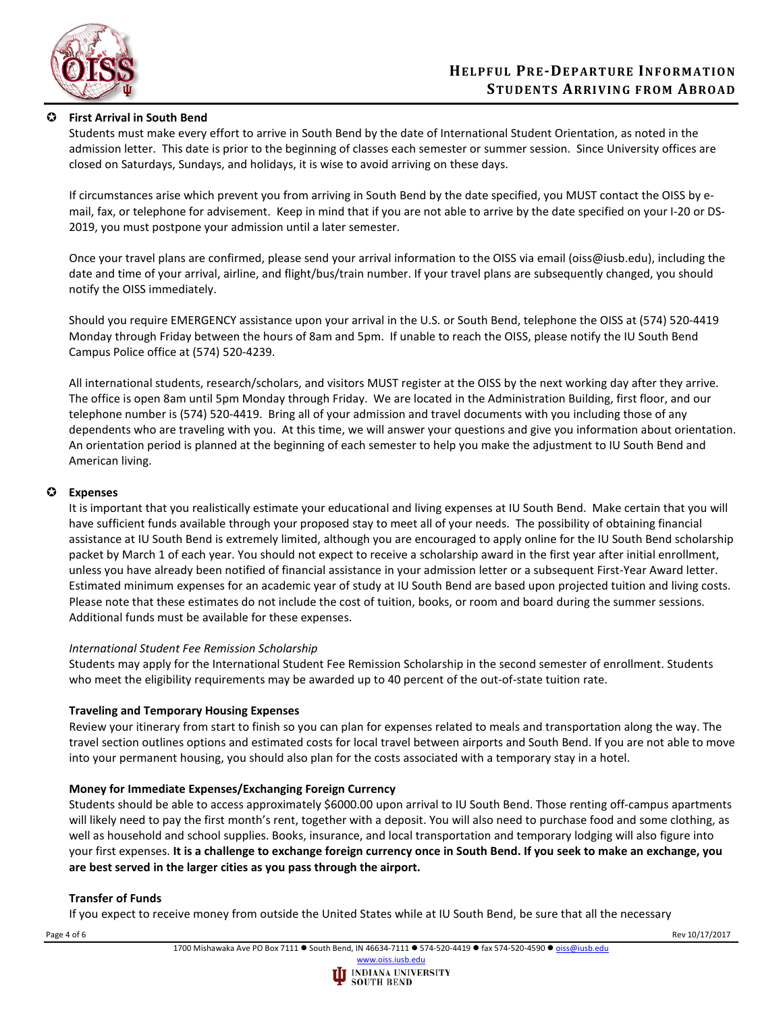

## **First Arrival in South Bend**

Students must make every effort to arrive in South Bend by the date of International Student Orientation, as noted in the admission letter. This date is prior to the beginning of classes each semester or summer session. Since University offices are closed on Saturdays, Sundays, and holidays, it is wise to avoid arriving on these days.

If circumstances arise which prevent you from arriving in South Bend by the date specified, you MUST contact the OISS by email, fax, or telephone for advisement. Keep in mind that if you are not able to arrive by the date specified on your I-20 or DS-2019, you must postpone your admission until a later semester.

Once your travel plans are confirmed, please send your arrival information to the OISS via email (oiss@iusb.edu), including the date and time of your arrival, airline, and flight/bus/train number. If your travel plans are subsequently changed, you should notify the OISS immediately.

Should you require EMERGENCY assistance upon your arrival in the U.S. or South Bend, telephone the OISS at (574) 520-4419 Monday through Friday between the hours of 8am and 5pm. If unable to reach the OISS, please notify the IU South Bend Campus Police office at (574) 520-4239.

All international students, research/scholars, and visitors MUST register at the OISS by the next working day after they arrive. The office is open 8am until 5pm Monday through Friday. We are located in the Administration Building, first floor, and our telephone number is (574) 520-4419. Bring all of your admission and travel documents with you including those of any dependents who are traveling with you. At this time, we will answer your questions and give you information about orientation. An orientation period is planned at the beginning of each semester to help you make the adjustment to IU South Bend and American living.

### **Expenses**

It is important that you realistically estimate your educational and living expenses at IU South Bend. Make certain that you will have sufficient funds available through your proposed stay to meet all of your needs. The possibility of obtaining financial assistance at IU South Bend is extremely limited, although you are encouraged to apply online for the IU South Bend scholarship packet by March 1 of each year. You should not expect to receive a scholarship award in the first year after initial enrollment, unless you have already been notified of financial assistance in your admission letter or a subsequent First-Year Award letter. Estimated minimum expenses for an academic year of study at IU South Bend are based upon projected tuition and living costs. Please note that these estimates do not include the cost of tuition, books, or room and board during the summer sessions. Additional funds must be available for these expenses.

### *International Student Fee Remission Scholarship*

Students may apply for the International Student Fee Remission Scholarship in the second semester of enrollment. Students who meet the eligibility requirements may be awarded up to 40 percent of the out-of-state tuition rate.

### **Traveling and Temporary Housing Expenses**

Review your itinerary from start to finish so you can plan for expenses related to meals and transportation along the way. The travel section outlines options and estimated costs for local travel between airports and South Bend. If you are not able to move into your permanent housing, you should also plan for the costs associated with a temporary stay in a hotel.

### **Money for Immediate Expenses/Exchanging Foreign Currency**

Students should be able to access approximately \$6000.00 upon arrival to IU South Bend. Those renting off-campus apartments will likely need to pay the first month's rent, together with a deposit. You will also need to purchase food and some clothing, as well as household and school supplies. Books, insurance, and local transportation and temporary lodging will also figure into your first expenses. **It is a challenge to exchange foreign currency once in South Bend. If you seek to make an exchange, you are best served in the larger cities as you pass through the airport.**

### **Transfer of Funds**

If you expect to receive money from outside the United States while at IU South Bend, be sure that all the necessary

Page 4 of 6 Rev 10/17/2017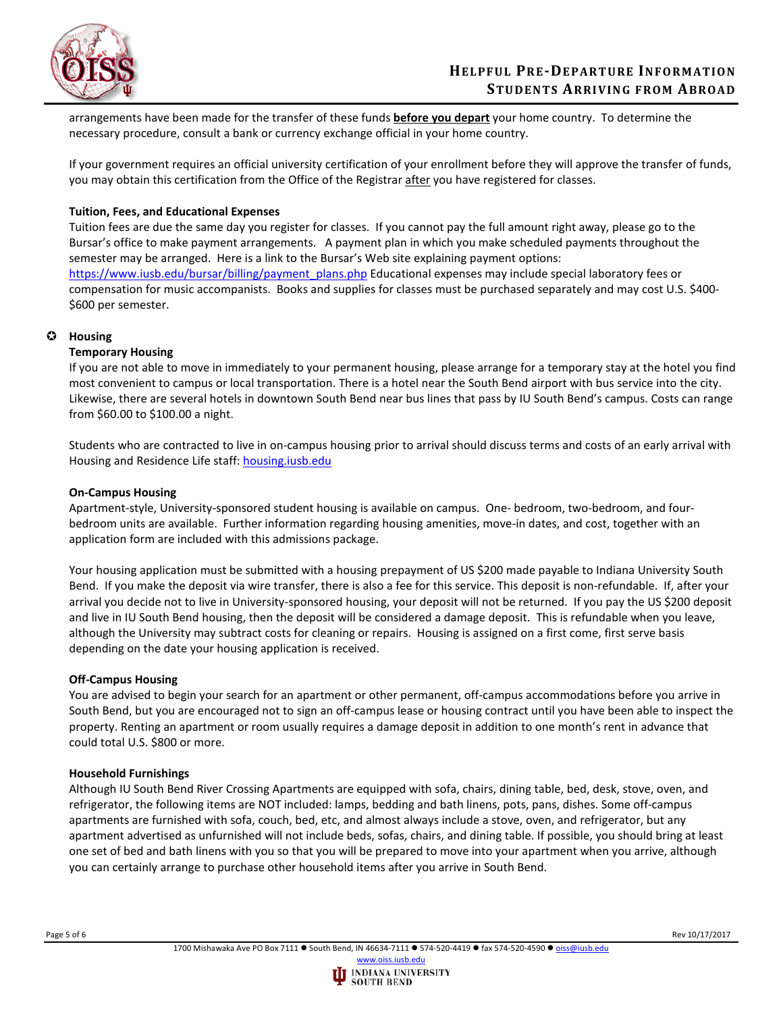

arrangements have been made for the transfer of these funds **before you depart** your home country. To determine the necessary procedure, consult a bank or currency exchange official in your home country.

If your government requires an official university certification of your enrollment before they will approve the transfer of funds, you may obtain this certification from the Office of the Registrar after you have registered for classes.

### **Tuition, Fees, and Educational Expenses**

Tuition fees are due the same day you register for classes. If you cannot pay the full amount right away, please go to the Bursar's office to make payment arrangements. A payment plan in which you make scheduled payments throughout the semester may be arranged. Here is a link to the Bursar's Web site explaining payment options: [https://www.iusb.edu/bursar/billing/payment\\_plans.php](https://www.iusb.edu/bursar/billing/payment_plans.php) Educational expenses may include special laboratory fees or compensation for music accompanists. Books and supplies for classes must be purchased separately and may cost U.S. \$400- \$600 per semester.

### **Housing**

### **Temporary Housing**

If you are not able to move in immediately to your permanent housing, please arrange for a temporary stay at the hotel you find most convenient to campus or local transportation. There is a hotel near the South Bend airport with bus service into the city. Likewise, there are several hotels in downtown South Bend near bus lines that pass by IU South Bend's campus. Costs can range from \$60.00 to \$100.00 a night.

Students who are contracted to live in on-campus housing prior to arrival should discuss terms and costs of an early arrival with Housing and Residence Life staff: [housing.iusb.edu](https://www.iusb.edu/housing/)

### **On-Campus Housing**

Apartment-style, University-sponsored student housing is available on campus. One- bedroom, two-bedroom, and fourbedroom units are available. Further information regarding housing amenities, move-in dates, and cost, together with an application form are included with this admissions package.

Your housing application must be submitted with a housing prepayment of US \$200 made payable to Indiana University South Bend. If you make the deposit via wire transfer, there is also a fee for this service. This deposit is non-refundable. If, after your arrival you decide not to live in University-sponsored housing, your deposit will not be returned. If you pay the US \$200 deposit and live in IU South Bend housing, then the deposit will be considered a damage deposit. This is refundable when you leave, although the University may subtract costs for cleaning or repairs. Housing is assigned on a first come, first serve basis depending on the date your housing application is received.

### **Off-Campus Housing**

You are advised to begin your search for an apartment or other permanent, off-campus accommodations before you arrive in South Bend, but you are encouraged not to sign an off-campus lease or housing contract until you have been able to inspect the property. Renting an apartment or room usually requires a damage deposit in addition to one month's rent in advance that could total U.S. \$800 or more.

### **Household Furnishings**

Although IU South Bend River Crossing Apartments are equipped with sofa, chairs, dining table, bed, desk, stove, oven, and refrigerator, the following items are NOT included: lamps, bedding and bath linens, pots, pans, dishes. Some off-campus apartments are furnished with sofa, couch, bed, etc, and almost always include a stove, oven, and refrigerator, but any apartment advertised as unfurnished will not include beds, sofas, chairs, and dining table. If possible, you should bring at least one set of bed and bath linens with you so that you will be prepared to move into your apartment when you arrive, although you can certainly arrange to purchase other household items after you arrive in South Bend.